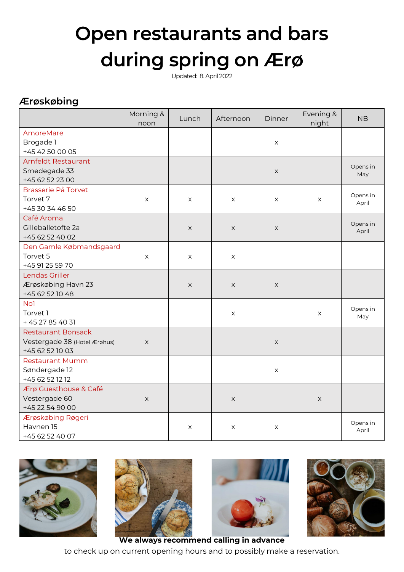## **Open restaurants and bars during spring on Ærø**

Updated: 8. April 2022

## **Ærøskøbing**

|                              | Morning &<br>noon | Lunch        | Afternoon   | Dinner                    | Evening &<br>night | <b>NB</b>         |
|------------------------------|-------------------|--------------|-------------|---------------------------|--------------------|-------------------|
| AmoreMare                    |                   |              |             |                           |                    |                   |
| Brogade 1                    |                   |              |             | X                         |                    |                   |
| +45 42 50 00 05              |                   |              |             |                           |                    |                   |
| Arnfeldt Restaurant          |                   |              |             |                           |                    | Opens in          |
| Smedegade 33                 |                   |              |             | $\times$                  |                    | May               |
| +45 62 52 23 00              |                   |              |             |                           |                    |                   |
| <b>Brasserie På Torvet</b>   |                   |              |             |                           |                    |                   |
| Torvet 7                     | X                 | X            | X           | X                         | X                  | Opens in<br>April |
| +45 30 34 46 50              |                   |              |             |                           |                    |                   |
| Café Aroma                   |                   |              |             |                           |                    |                   |
| Gilleballetofte 2a           |                   | X            | X           | $\times$                  |                    | Opens in<br>April |
| +45 62 52 40 02              |                   |              |             |                           |                    |                   |
| Den Gamle Købmandsgaard      |                   |              |             |                           |                    |                   |
| Torvet 5                     | X                 | X            | X           |                           |                    |                   |
| +45 91 25 59 70              |                   |              |             |                           |                    |                   |
| Lendas Griller               |                   |              |             |                           |                    |                   |
| Ærøskøbing Havn 23           |                   | $\mathsf{X}$ | $\times$    | X                         |                    |                   |
| +45 62 52 10 48              |                   |              |             |                           |                    |                   |
| No <sub>1</sub>              |                   |              |             |                           |                    | Opens in          |
| Torvet 1                     |                   |              | X           |                           | X                  | May               |
| + 45 27 85 40 31             |                   |              |             |                           |                    |                   |
| <b>Restaurant Bonsack</b>    |                   |              |             |                           |                    |                   |
| Vestergade 38 (Hotel Ærøhus) | X                 |              |             | $\boldsymbol{\mathsf{X}}$ |                    |                   |
| +45 62 52 10 03              |                   |              |             |                           |                    |                   |
| <b>Restaurant Mumm</b>       |                   |              |             |                           |                    |                   |
| Søndergade 12                |                   |              |             | X                         |                    |                   |
| +45 62 52 12 12              |                   |              |             |                           |                    |                   |
| Ærø Guesthouse & Café        |                   |              |             |                           |                    |                   |
| Vestergade 60                | X                 |              | $\mathsf X$ |                           | X                  |                   |
| +45 22 54 90 00              |                   |              |             |                           |                    |                   |
| Ærøskøbing Røgeri            |                   |              |             |                           |                    | Opens in          |
| Havnen 15                    |                   | X            | X           | X                         |                    | April             |
| +45 62 52 40 07              |                   |              |             |                           |                    |                   |







to check up on current opening hours and to possibly make a reservation.